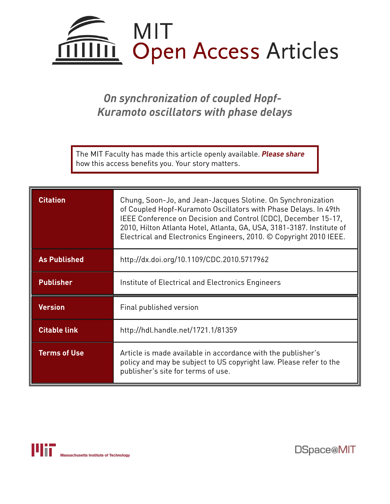

# *On synchronization of coupled Hopf-Kuramoto oscillators with phase delays*

The MIT Faculty has made this article openly available. *[Please](https://libraries.mit.edu/forms/dspace-oa-articles.html) share* how this access benefits you. Your story matters.

| <b>Citation</b>     | Chung, Soon-Jo, and Jean-Jacques Slotine. On Synchronization<br>of Coupled Hopf-Kuramoto Oscillators with Phase Delays. In 49th<br>IEEE Conference on Decision and Control (CDC), December 15-17,<br>2010, Hilton Atlanta Hotel, Atlanta, GA, USA, 3181-3187. Institute of<br>Electrical and Electronics Engineers, 2010. © Copyright 2010 IEEE. |
|---------------------|--------------------------------------------------------------------------------------------------------------------------------------------------------------------------------------------------------------------------------------------------------------------------------------------------------------------------------------------------|
| <b>As Published</b> | http://dx.doi.org/10.1109/CDC.2010.5717962                                                                                                                                                                                                                                                                                                       |
| <b>Publisher</b>    | Institute of Electrical and Electronics Engineers                                                                                                                                                                                                                                                                                                |
| <b>Version</b>      | Final published version                                                                                                                                                                                                                                                                                                                          |
| <b>Citable link</b> | http://hdl.handle.net/1721.1/81359                                                                                                                                                                                                                                                                                                               |
| <b>Terms of Use</b> | Article is made available in accordance with the publisher's<br>policy and may be subject to US copyright law. Please refer to the<br>publisher's site for terms of use.                                                                                                                                                                         |



DSpace@MIT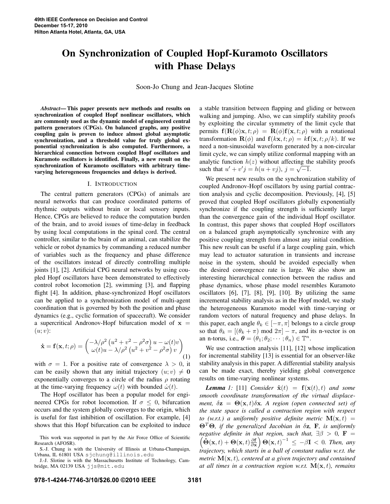# On Synchronization of Coupled Hopf-Kuramoto Oscillators with Phase Delays

Soon-Jo Chung and Jean-Jacques Slotine

*Abstract*— This paper presents new methods and results on synchronization of coupled Hopf nonlinear oscillators, which are commonly used as the dynamic model of engineered central pattern generators (CPGs). On balanced graphs, any positive coupling gain is proven to induce almost global asymptotic synchronization, and a threshold value for truly global exponential synchronization is also computed. Furthermore, a hierarchical connection between coupled Hopf oscillators and Kuramoto oscillators is identified. Finally, a new result on the synchronization of Kuramoto oscillators with arbitrary timevarying heterogeneous frequencies and delays is derived.

## I. INTRODUCTION

The central pattern generators (CPGs) of animals are neural networks that can produce coordinated patterns of rhythmic outputs without brain or local sensory inputs. Hence, CPGs are believed to reduce the computation burden of the brain, and to avoid issues of time-delay in feedback by using local computations in the spinal cord. The central controller, similar to the brain of an animal, can stabilize the vehicle or robot dynamics by commanding a reduced number of variables such as the frequency and phase difference of the oscillators instead of directly controlling multiple joints [1], [2]. Artificial CPG neural networks by using coupled Hopf oscillators have been demonstrated to effectively control robot locomotion [2], swimming [3], and flapping flight [4]. In addition, phase-synchronized Hopf oscillators can be applied to a synchronization model of multi-agent coordination that is governed by both the position and phase dynamics (e.g., cyclic formation of spacecraft). We consider a supercritical Andronov-Hopf bifurcation model of  $x =$  $(u; v)$ :

$$
\dot{\mathbf{x}} = \mathbf{f}(\mathbf{x}, t; \rho) = \begin{pmatrix} -\lambda/\rho^2 \left( u^2 + v^2 - \rho^2 \sigma \right) u - \omega(t) v \\ \omega(t) u - \lambda/\rho^2 \left( u^2 + v^2 - \rho^2 \sigma \right) v \end{pmatrix} (1)
$$

with  $\sigma = 1$ . For a positive rate of convergence  $\lambda > 0$ , it can be easily shown that any initial trajectory  $(u; v) \neq 0$ exponentially converges to a circle of the radius  $\rho$  rotating at the time-varying frequency  $\omega(t)$  with bounded  $\dot{\omega}(t)$ .

The Hopf oscillator has been a popular model for engineered CPGs for robot locomotion. If  $\sigma \leq 0$ , bifurcation occurs and the system globally converges to the origin, which is useful for fast inhibition of oscillation. For example, [4] shows that this Hopf bifurcation can be exploited to induce a stable transition between flapping and gliding or between walking and jumping. Also, we can simplify stability proofs by exploiting the circular symmetry of the limit cycle that permits  $f(R(\phi)x, t; \rho) = R(\phi)f(x, t; \rho)$  with a rotational transformation  $\mathbf{R}(\phi)$  and  $\mathbf{f}(k\mathbf{x}, t; \rho) = k\mathbf{f}(\mathbf{x}, t; \rho/k)$ . If we need a non-sinusoidal waveform generated by a non-circular limit cycle, we can simply utilize conformal mapping with an analytic function  $h(z)$  without affecting the stability proofs such that  $u' + v'j = h(u + vj)$ ,  $j = \sqrt{-1}$ .

We present new results on the synchronization stability of coupled Andronov-Hopf oscillators by using partial contraction analysis and cyclic decomposition. Previously, [4], [5] proved that coupled Hopf oscillators globally exponentially synchronize if the coupling strength is sufficiently larger than the convergence gain of the individual Hopf oscillator. In contrast, this paper shows that coupled Hopf oscillators on a balanced graph asymptotically synchronize with any positive coupling strength from almost any initial condition. This new result can be useful if a large coupling gain, which may lead to actuator saturation in transients and increase noise in the system, should be avoided especially when the desired convergence rate is large. We also show an interesting hierarchical connection between the radius and phase dynamics, whose phase model resembles Kuramoto oscillators [6], [7], [8], [9], [10]. By utilizing the same incremental stability analysis as in the Hopf model, we study the heterogeneous Kuramoto model with time-varying or random vectors of natural frequency and phase delays. In this paper, each angle  $\theta_k \in [-\pi, \pi]$  belongs to a circle group so that  $\theta_k = [(\theta_k + \pi) \mod 2\pi] - \pi$ , and its n-vector is on an n-torus, i.e.,  $\boldsymbol{\theta} = (\theta_1; \theta_2; \cdots; \theta_n) \in \mathbb{T}^n$ .

We use contraction analysis [11], [12] whose implication for incremental stability [13] is essential for an observer-like stability analysis in this paper. A differential stability analysis can be made exact, thereby yielding global convergence results on time-varying nonlinear systems.

*Lemma* 1: [11] *Consider*  $\dot{\mathbf{x}}(t) = \mathbf{f}(\mathbf{x}(t), t)$  *and some smooth coordinate transformation of the virtual displacement,*  $\delta \mathbf{z} = \mathbf{\Theta}(\mathbf{x}, t) \delta \mathbf{x}$ . A region (open connected set) of *the state space is called a contraction region with respect to (w.r.t.) a uniformly positive definite metric*  $\mathbf{M}(\mathbf{x},t)$  = Θ<sup>𝑇</sup> Θ*, if the generalized Jacobian in* 𝛿z*,* F*, is uniformly negative definite in that region, such that,*  $\exists \beta > 0$ ,  $\mathbf{F} =$  $\left(\tilde{\Theta}(\mathbf{x},t)+\Theta(\mathbf{x},t)\frac{\partial \mathbf{f}}{\partial \mathbf{x}}\right)\Theta(\mathbf{x},t)^{-1} \leq -\beta \mathbf{I} < 0$ . Then, any *trajectory, which starts in a ball of constant radius w.r.t. the metric*  $\mathbf{M}(\mathbf{x},t)$ *, centered at a given trajectory and contained at all times in a contraction region w.r.t.*  $\mathbf{M}(\mathbf{x},t)$ *, remains* 

This work was supported in part by the Air Force Office of Scientific Research (AFOSR).

S.-J. Chung is with the University of Illinois at Urbana-Champaign, Urbana, IL 61801 USA sjchung@illinois.edu

J.-J. Slotine is with the Massachusetts Institute of Technology, Cambridge, MA 02139 USA jjs@mit.edu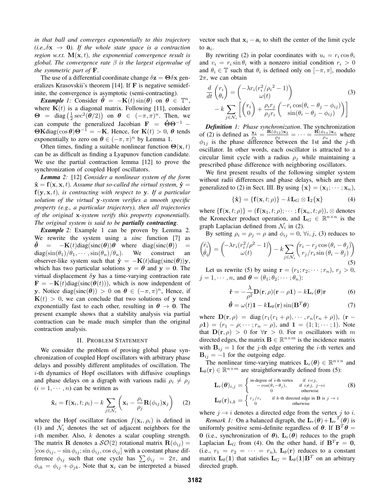*in that ball and converges exponentially to this trajectory*  $(i.e., \delta x \rightarrow 0)$ . If the whole state space is a contraction *region w.r.t.*  $\mathbf{M}(\mathbf{x},t)$ *, the exponential convergence result is global. The convergence rate*  $\beta$  *is the largest eigenvalue of the symmetric part of* F.

The use of a differential coordinate change  $\delta z = \Theta \delta x$  generalizes Krasovskii's theorem [14]. If F is negative semidefinite, the convergence is asymptotic (semi-contracting).

*Example 1:* Consider  $\dot{\theta} = -\mathbf{K}(t) \sin(\theta)$  on  $\theta \in \mathbb{T}^n$ , where  $K(t)$  is a diagonal matrix. Following [11], consider  $\Theta$  = diag  $\left(\frac{1}{2}\sec^2(\theta/2)\right)$  on  $\theta \in (-\pi, \pi)^n$ . Then, we can compute the generalized Jacobian  $\mathbf{F} = \dot{\mathbf{\Theta}} \mathbf{\Theta}^{-1}$  –  $\Theta$ Kdiag(cos  $\theta$ ) $\Theta^{-1} = -K$ . Hence, for  $K(t) > 0$ ,  $\theta$  tends exponentially to zero on  $\theta \in (-\pi, \pi)^n$  by Lemma 1.

Often times, finding a suitable nonlinear function  $\Theta(\mathbf{x}, t)$ can be as difficult as finding a Lyapunov function candidate. We use the partial contraction lemma [12] to prove the synchronization of coupled Hopf oscillators.

*Lemma 2:* [12] *Consider a nonlinear system of the form*  $\dot{\mathbf{x}} = \mathbf{f}(\mathbf{x}, \mathbf{x}, t)$ *. Assume that so-called the virtual system,*  $\dot{\mathbf{y}} =$  $f(y, x, t)$ *, is contracting with respect to* y. If a particular *solution of the virtual* y*-system verifies a smooth specific property (e.g., a particular trajectory), then all trajectories of the original* x*-system verify this property exponentially. The original system is said to be partially contracting.*

*Example* 2: Example 1 can be proven by Lemma 2. We rewrite the system using a *sinc* function [7] as  $\dot{\theta} = -\mathbf{K}(t) \text{diag}(\text{sinc}(\theta))\theta$  where diag(sinc( $\theta$ )) =  $diag(\sin(\theta_1)/\theta_1, \cdots, \sin(\theta_n)/\theta_n)$ . We construct an observer-like system such that  $\dot{\mathbf{y}} = -\mathbf{K}(t) \text{diag}(\text{sinc}(\boldsymbol{\theta}))\mathbf{y}$ , which has two particular solutions  $y = \theta$  and  $y = 0$ . The virtual displacement  $\delta y$  has a time-varying contraction rate  $\mathbf{F} = -\mathbf{K}(t) \text{diag}(\text{sinc}(\boldsymbol{\theta}(t))),$  which is now independent of y. Notice diag(sinc( $\theta$ )) > 0 on  $\theta \in (-\pi, \pi)^n$ , Hence, if  $K(t) > 0$ , we can conclude that two solutions of y tend exponentially fast to each other, resulting in  $\theta \rightarrow 0$ . The present example shows that a stability analysis via partial contraction can be made much simpler than the original contraction analysis.

#### II. PROBLEM STATEMENT

We consider the problem of proving global phase synchronization of coupled Hopf oscillators with arbitrary phase delays and possibly different amplitudes of oscillation. The  $i$ -th dynamics of Hopf oscillators with diffusive couplings and phase delays on a digraph with various radii  $\rho_i \neq \rho_j$  $(i = 1, \dots, n)$  can be written as

$$
\dot{\mathbf{x}}_i = \mathbf{f}(\mathbf{x}_i, t; \rho_i) - k \sum_{j \in \mathcal{N}_i} \left( \mathbf{x}_i - \frac{\rho_i}{\rho_j} \mathbf{R}(\phi_{ij}) \mathbf{x}_j \right) \tag{2}
$$

where the Hopf oscillator function  $f(\mathbf{x}_i, \rho_i)$  is defined in (1) and  $\mathcal{N}_i$  denotes the set of adjacent neighbors for the  $i$ -th member. Also,  $k$  denotes a scalar coupling strength. The matrix **R** denotes a  $\mathcal{SO}(2)$  rotational matrix  $\mathbf{R}(\phi_{ij}) =$  $[\cos \phi_{ij}, -\sin \phi_{ij}; \sin \phi_{ij}, \cos \phi_{ij}]$  with a constant phase difference  $\phi_{ij}$  such that one cycle has  $\sum \phi_{ij} = 2\pi$ , and  $\phi_{ik} = \phi_{ij} + \phi_{jk}$ . Note that  $x_i$  can be interpreted a biased vector such that  $x_i - a_i$  to shift the center of the limit cycle to  $a_i$ .

By rewriting (2) in polar coordinates with  $u_i = r_i \cos \theta_i$ and  $v_i = r_i \sin \theta_i$  with a nonzero initial condition  $r_i > 0$ and  $\theta_i \in \mathbb{T}$  such that  $\theta_i$  is defined only on  $[-\pi, \pi]$ , modulo  $2\pi$ , we can obtain

$$
\frac{d}{dt}\begin{pmatrix}r_i\\ \theta_i\end{pmatrix} = \begin{pmatrix}-\lambda r_i (r_i^2/\rho_i^2 - 1)\\ \omega(t)\\ \omega(t)\end{pmatrix}
$$
\n
$$
-k \sum_{j \in \mathcal{N}_i} \left[ \begin{pmatrix}r_i\\ 0\end{pmatrix} + \frac{\rho_i r_j}{\rho_j r_i} \begin{pmatrix}-r_i \cos(\theta_i - \theta_j - \phi_{ij})\\ \sin(\theta_i - \theta_j - \phi_{ij})\end{pmatrix} \right]
$$
\n(3)

*Definition 1: Phase synchronization*. The synchronization of (2) is defined as  $\frac{\mathbf{x}_1}{\rho_1} = \frac{\mathbf{R}(\phi_{12})\mathbf{x}_2}{\rho_2}$  $\frac{\mathbf{B}_{12}\mathbf{X}_2}{\rho_2}=\cdots=\frac{\mathbf{R}(\phi_{1n})\mathbf{x}_n}{\rho_n}$  $\frac{\rho_{1n} \mathbf{x}_n}{\rho_n}$  where  $\phi_{1j}$  is the phase difference between the 1st and the *j*-th oscillator. In other words, each oscillator is attracted to a circular limit cycle with a radius  $\rho_j$  while maintaining a prescribed phase difference with neighboring oscillators.

We first present results of the following simpler system without radii differences and phase delays, which are then generalized to (2) in Sect. III. By using  $\{x\} = (x_1; \dots; x_n)$ ,

$$
\{\dot{\mathbf{x}}\} = \{\mathbf{f}(\mathbf{x}, t; \rho)\} - k \mathbf{L}_G \otimes \mathbf{I}_2 \{\mathbf{x}\}\
$$
 (4)

where  $\{f(\mathbf{x}, t; \rho)\} = (f(\mathbf{x}_1, t; \rho); \cdots; f(\mathbf{x}_n, t; \rho)), \otimes$  denotes the Kronecker product operation, and  $\mathbf{L}_G \in \mathbb{R}^{n \times n}$  is the graph Laplacian defined from  $\mathcal{N}_i$  in (2).

By setting  $\rho_i = \rho_j = \rho$  and  $\phi_{ij} = 0$ ,  $\forall i, j$ , (3) reduces to

$$
\begin{pmatrix} \dot{r}_i \\ \dot{\theta}_i \end{pmatrix} = \begin{pmatrix} -\lambda r_i (r_i^2/\rho^2 - 1) \\ \omega(t) \end{pmatrix} - k \sum_{j \in \mathcal{N}_i} \begin{pmatrix} r_i - r_j \cos(\theta_i - \theta_j) \\ r_j / r_i \sin(\theta_i - \theta_j) \end{pmatrix}
$$
\n(5)

Let us rewrite (5) by using  $\mathbf{r} = (r_1; r_2; \dots; r_n), r_i > 0$ ,  $j = 1, \dots, n$ , and  $\boldsymbol{\theta} = (\theta_1; \theta_2; \dots; \theta_n)$ :

$$
\dot{\mathbf{r}} = -\frac{\lambda}{\rho^2} \mathbf{D}(\mathbf{r}, \rho)(\mathbf{r} - \rho \mathbf{1}) - k \mathbf{L}_r(\boldsymbol{\theta}) \mathbf{r}
$$
 (6)

$$
\dot{\boldsymbol{\theta}} = \omega(t)\mathbf{1} - k\mathbf{L}_{\theta}(\mathbf{r})\sin(\mathbf{B}^T\boldsymbol{\theta})
$$
\n(7)

where  $\mathbf{D}(\mathbf{r}, \rho) = \text{diag}(r_1(r_1 + \rho), \cdots, r_n(r_n + \rho)),$  (**r** −  $\rho(1) = (r_1 - \rho; \cdots; r_n - \rho)$ , and  $1 = (1; 1; \cdots; 1)$ . Note that  $\mathbf{D}(\mathbf{r}, \rho) > 0$  for  $\forall \mathbf{r} > 0$ . For *n* oscillators with *m* directed edges, the matrix  $\mathbf{B} \in \mathbb{R}^{n \times m}$  is the incidence matrix with  $B_{ij} = 1$  for the j-th edge entering the *i*-th vertex and  $B_{ij} = -1$  for the outgoing edge.

The nonlinear time-varying matrices  $\mathbf{L}_r(\theta) \in \mathbb{R}^{n \times n}$  and  $\mathbf{L}_{\theta}(\mathbf{r}) \in \mathbb{R}^{n \times m}$  are straightforwardly defined from (5):

$$
\mathbf{L}_{r}(\boldsymbol{\theta})_{i,j} = \begin{cases}\n\text{in-degree of } i\text{-th vertex} & \text{if } i=j, \\
-\cos(\theta_{i}-\theta_{j}), & \text{if } i\neq j, j\to i \\
0 & \text{otherwise}\n\end{cases} \tag{8}
$$
\n
$$
\mathbf{L}_{\theta}(\mathbf{r})_{i,k} = \begin{cases}\n r_{j}/r_{i} & \text{if } k\text{-th directed edge in } \mathbf{B} \text{ is } j \to i \\
0 & \text{otherwise}\n\end{cases}
$$

where  $j \rightarrow i$  denotes a directed edge from the vertex  $j$  to  $i$ .

*Remark 1:* On a balanced digraph, the  $\mathbf{L}_r(\theta) + \mathbf{L}_r^T(\theta)$  is uniformly positive semi-definite regardless of  $\theta$ . If  $\mathbf{B}^T \theta =$ 0 (i.e., synchronization of  $\theta$ ),  $\mathbf{L}_r(\theta)$  reduces to the graph Laplacian  $L_G$  from (4). On the other hand, if  $B^T r = 0$ , (i.e.,  $r_1 = r_2 = \cdots = r_n$ ),  $\mathbf{L}_{\theta}(\mathbf{r})$  reduces to a constant matrix  $\mathbf{L}_{\theta}(\mathbf{1})$  that satisfies  $\mathbf{L}_{G} = \mathbf{L}_{\theta}(\mathbf{1})\mathbf{B}^{T}$  on an arbitrary directed graph.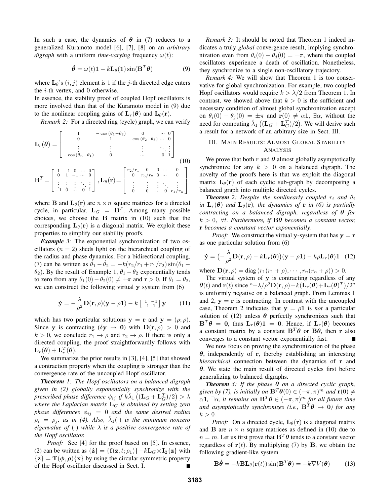In such a case, the dynamics of  $\theta$  in (7) reduces to a generalized Kuramoto model [6], [7], [8] on an *arbitrary digraph* with a uniform *time-varying* frequency  $\omega(t)$ :

$$
\dot{\boldsymbol{\theta}} = \omega(t)\mathbf{1} - k\mathbf{L}_{\theta}(\mathbf{1})\sin(\mathbf{B}^T\boldsymbol{\theta})
$$
 (9)

where  $\mathbf{L}_{\theta}$ 's  $(i, j)$  element is 1 if the j-th directed edge enters the  $i$ -th vertex, and 0 otherwise.

In essence, the stability proof of coupled Hopf oscillators is more involved than that of the Kuramoto model in (9) due to the nonlinear coupling gains of  $\mathbf{L}_r(\theta)$  and  $\mathbf{L}_\theta(\mathbf{r})$ .

*Remark 2:* For a directed ring (cycle) graph, we can verify

$$
\mathbf{L}_{r}(\theta) = \begin{bmatrix} 1 & -\cos(\theta_{1} - \theta_{2}) & 0 & \cdots & 0 \\ 0 & 1 & -\cos(\theta_{2} - \theta_{3}) & \cdots & 0 \\ \vdots & \vdots & \vdots & \ddots & \vdots \\ -\cos(\theta_{n} - \theta_{1}) & 0 & \cdots & 0 & 1 \end{bmatrix}
$$
(10)  

$$
\mathbf{B}^{T} = \begin{bmatrix} 1 & -1 & 0 & \cdots & 0 \\ 0 & 1 & -1 & \cdots & 0 \\ \vdots & \vdots & \vdots & \ddots & \vdots \\ -1 & 0 & \cdots & 0 & 1 \end{bmatrix}, \mathbf{L}_{\theta}(\mathbf{r}) = \begin{bmatrix} r_{2}/r_{1} & 0 & 0 & \cdots & 0 \\ 0 & r_{3}/r_{2} & 0 & \cdots & 0 \\ \vdots & \vdots & \vdots & \ddots & \vdots \\ 0 & 0 & \cdots & 0 & r_{1}/r_{n} \end{bmatrix}
$$

where **B** and  $\mathbf{L}_{\theta}(\mathbf{r})$  are  $n \times n$  square matrices for a directed cycle, in particular,  $L_G = B^T$ . Among many possible choices, we choose the  $\bf{B}$  matrix in (10) such that the corresponding  $\mathbf{L}_{\theta}(\mathbf{r})$  is a diagonal matrix. We exploit these properties to simplify our stability proofs.

*Example 3:* The exponential synchronization of two oscillators ( $n = 2$ ) sheds light on the hierarchical coupling of the radius and phase dynamics. For a bidirectional coupling, (7) can be written as  $\dot{\theta}_1 - \dot{\theta}_2 = -k(r_2/r_1 + r_1/r_2) \sin(\theta_1 - \theta_2)$  $\theta_2$ ). By the result of Example 1,  $\theta_1 - \theta_2$  exponentially tends to zero from any  $\theta_1(0) - \theta_2(0) \neq \pm \pi$  and  $\mathbf{r} > 0$ . If  $\theta_1 = \theta_2$ , we can construct the following virtual y system from (6)

$$
\dot{\mathbf{y}} = -\frac{\lambda}{\rho^2} \mathbf{D}(\mathbf{r}, \rho)(\mathbf{y} - \rho \mathbf{1}) - k \begin{bmatrix} 1 & -1 \\ -1 & 1 \end{bmatrix} \mathbf{y}
$$
 (11)

which has two particular solutions  $y = r$  and  $y = (\rho; \rho)$ . Since y is contracting  $(\delta y \to 0)$  with  $D(r, \rho) > 0$  and  $k > 0$ , we conclude  $r_1 \rightarrow \rho$  and  $r_2 \rightarrow \rho$ . If there is only a directed coupling, the proof straightforwardly follows with  $\mathbf{L}_r(\boldsymbol{\theta}) + \mathbf{L}_r^T(\boldsymbol{\theta}).$ 

We summarize the prior results in [3], [4], [5] that showed a contraction property when the coupling is stronger than the convergence rate of the uncoupled Hopf oscillator.

*Theorem 1: The Hopf oscillators on a balanced digraph given in (2) globally exponentially synchronize with the*  $\hat{p}$  prescribed phase difference  $\phi_{ij}$  if  $\hat{k \lambda }_1 \left( ({\bf L}_G + {\bf L}_G^T)/2 \right) > \lambda$ *where the Laplacian matrix*  $L_G$  *is obtained by setting zero phase differences*  $\phi_{ij} = 0$  *and the same desired radius*  $\rho_i = \rho_j$ , as in (4). Also,  $\hat{\lambda}_1(\cdot)$  is the minimum nonzero *eigenvalue of*  $\langle \cdot \rangle$  *while*  $\lambda$  *is a positive convergence rate of the Hopf oscillator.*

*Proof:* See [4] for the proof based on [5]. In essence, (2) can be written as  $\{\dot{z}\} = \{f(z, t; \rho_1)\} - kL_G \otimes I_2\{z\}$  with  $\{z\} = T(\phi, \rho)\{x\}$  by using the circular symmetric property of the Hopf oscillator discussed in Sect. I.

*Remark 3:* It should be noted that Theorem 1 indeed indicates a truly *global* convergence result, implying synchronization even from  $\theta_i(0) - \theta_i(0) = \pm \pi$ , where the coupled oscillators experience a death of oscillation. Nonetheless, they synchronize to a single non-oscillatory trajectory.

*Remark 4:* We will show that Theorem 1 is too conservative for global synchronization. For example, two coupled Hopf oscillators would require  $k > \lambda/2$  from Theorem 1. In contrast, we showed above that  $k > 0$  is the sufficient and necessary condition of almost global synchronization except on  $\theta_i(0) - \theta_i(0) = \pm \pi$  and  $\mathbf{r}(0) \neq \alpha \mathbf{1}$ ,  $\exists \alpha$ , without the need for computing  $\hat{\lambda}_1 \left( (\mathbf{L}_G + \mathbf{L}_G^T)/2 \right)$ . We will derive such a result for a network of an arbitrary size in Sect. III.

# III. MAIN RESULTS: ALMOST GLOBAL STABILITY ANALYSIS

We prove that both r and  $\theta$  almost globally asymptotically synchronize for any  $k > 0$  on a balanced digraph. The novelty of the proofs here is that we exploit the diagonal matrix  $\mathbf{L}_{\theta}(\mathbf{r})$  of each cyclic sub-graph by decomposing a balanced graph into multiple directed cycles.

*Theorem* 2: Despite the nonlinearly coupled  $r_i$  and  $\theta_i$ *in*  $\mathbf{L}_r(\boldsymbol{\theta})$  *and*  $\mathbf{L}_{\boldsymbol{\theta}}(\mathbf{r})$ *, the dynamics of* **r** *in* (6) *is partially contracting on a balanced digraph, regardless of*  $\theta$  *for*  $k > 0$ ,  $\forall t$ *. Furthermore, if*  $B\theta$  *becomes a constant vector,* r *becomes a constant vector exponentially.*

*Proof:* We construct the virtual y-system that has  $y = r$ as one particular solution from (6)

$$
\dot{\mathbf{y}} = \left(-\frac{\lambda}{\rho^2} \mathbf{D}(\mathbf{r}, \rho) - k \mathbf{L}_r(\boldsymbol{\theta})\right) (\mathbf{y} - \rho \mathbf{1}) - k \rho \mathbf{L}_r(\boldsymbol{\theta}) \mathbf{1} \quad (12)
$$

where  $\mathbf{D}(\mathbf{r}, \rho) = \text{diag}(r_1(r_1 + \rho), \cdots, r_n(r_n + \rho)) > 0.$ 

The virtual system of y is contracting regardless of any  $\theta(t)$  and  $\mathbf{r}(t)$  since " $-\lambda/\rho^2\mathbf{D}(\mathbf{r},\rho) - k(\mathbf{L}_r(\theta)+\mathbf{L}_r(\theta)^T)/2$ " is uniformly negative on a balanced graph. From Lemmas 1 and 2,  $y = r$  is contracting. In contrast with the uncoupled case, Theorem 2 indicates that  $y = \rho \mathbf{1}$  is *not* a particular solution of (12) unless  $\theta$  perfectly synchronizes such that  ${\bf B}^T \theta = 0$ , thus  ${\bf L}_r(\theta) {\bf 1} = 0$ . Hence, if  ${\bf L}_r(\theta)$  becomes a constant matrix by a constant  $B^T\theta$  or  $B\theta$ , then r also converges to a constant vector exponentially fast.

We now focus on proving the synchronization of the phase  $\theta$ , independently of r, thereby establishing an interesting *hierarchical* connection between the dynamics of r and  $\theta$ . We state the main result of directed cycles first before generalizing to balanced digraphs.

*Theorem 3: If the phase*  $\theta$  *on a directed cyclic graph, given by (7), is initially on*  $\mathbf{B}^T \boldsymbol{\theta}(0) \in (-\pi, \pi)^m$  and  $\mathbf{r}(0) \neq 0$  $\alpha$ **1**,  $\exists \alpha$ *, it remains on*  $\mathbf{B}^T \boldsymbol{\theta} \in (-\pi, \pi)^m$  for all future time *and asymptotically synchronizes (i.e.,*  $\mathbf{B}^T \boldsymbol{\theta} \to \mathbf{0}$ ) for any  $k > 0$ .

*Proof:* On a directed cycle,  $L_{\theta}(\mathbf{r})$  is a diagonal matrix and **B** are  $n \times n$  square matrices as defined in (10) due to  $n = m$ . Let us first prove that  $\mathbf{B}^T \boldsymbol{\theta}$  tends to a constant vector regardless of  $r(t)$ . By multiplying (7) by B, we obtain the following gradient-like system

$$
\mathbf{B}\dot{\theta} = -k\mathbf{B}\mathbf{L}_{\theta}(\mathbf{r}(t))\sin(\mathbf{B}^T\theta) = -k\nabla V(\theta)
$$
 (13)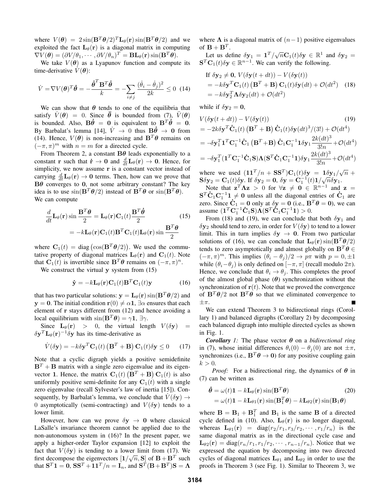where  $V(\theta) = 2 \sin(\mathbf{B}^T \theta/2)^T \mathbf{L}_{\theta}(\mathbf{r}) \sin(\mathbf{B}^T \theta/2)$  and we exploited the fact  $L_{\theta}(\mathbf{r})$  is a diagonal matrix in computing  $\nabla V(\boldsymbol{\theta}) = (\partial V/\theta_1, \cdots, \partial V/\theta_n)^T = \mathbf{BL}_{\theta}(\mathbf{r}) \sin(\mathbf{B}^T \boldsymbol{\theta}).$ 

We take  $V(\theta)$  as a Lyapunov function and compute its time-derivative  $V(\theta)$ :

$$
\dot{V} = \nabla V(\boldsymbol{\theta})^T \dot{\boldsymbol{\theta}} = -\frac{\dot{\boldsymbol{\theta}}^T \mathbf{B}^T \dot{\boldsymbol{\theta}}}{k} = -\sum_{i \neq j} \frac{(\dot{\theta}_i - \dot{\theta}_j)^2}{2k} \leq 0 \tag{14}
$$

We can show that  $\theta$  tends to one of the equilibria that satisfy  $\dot{V}(\theta) = 0$ . Since  $\ddot{\theta}$  is bounded from (7),  $\ddot{V}(\theta)$ is bounded. Also,  $\mathbf{B}\dot{\theta} = \mathbf{0}$  is equivalent to  $\mathbf{B}^T\dot{\theta} = \mathbf{0}$ . By Barbalat's lemma [14],  $\dot{V} \rightarrow 0$  thus  $B\dot{\theta} \rightarrow 0$  from (14). Hence,  $V(\theta)$  is non-increasing and  $\mathbf{B}^T \theta$  remains on  $(-\pi, \pi)^m$  with  $n = m$  for a directed cycle.

From Theorem 2, a constant  $B\theta$  leads exponentially to a constant **r** such that  $\dot{\mathbf{r}} \to \mathbf{0}$  and  $\frac{d}{dt} \mathbf{L}_{\theta}(\mathbf{r}) \to \mathbf{0}$ . Hence, for simplicity, we now assume r is a constant vector instead of carrying  $\frac{d}{dt}L_{\theta}(\mathbf{r}) \rightarrow \mathbf{0}$  terms. Then, how can we prove that  $B\theta$  converges to 0, not some arbitrary constant? The key idea is to use  $\sin(\mathbf{B}^T \theta/2)$  instead of  $\mathbf{B}^T \theta$  or  $\sin(\mathbf{B}^T \theta)$ . We can compute

$$
\frac{d}{dt}\mathbf{L}_{\theta}(\mathbf{r})\sin\frac{\mathbf{B}^T\boldsymbol{\theta}}{2} = \mathbf{L}_{\theta}(\mathbf{r})\mathbf{C}_1(t)\frac{\mathbf{B}^T\dot{\boldsymbol{\theta}}}{2}
$$
\n
$$
= -k\mathbf{L}_{\theta}(\mathbf{r})\mathbf{C}_1(t)\mathbf{B}^T\mathbf{C}_1(t)\mathbf{L}_{\theta}(\mathbf{r})\sin\frac{\mathbf{B}^T\boldsymbol{\theta}}{2}
$$
\n(15)

where  $C_1(t) = \text{diag}(\cos(\mathbf{B}^T \boldsymbol{\theta}/2))$ . We used the commutative property of diagonal matrices  $\mathbf{L}_{\theta}(\mathbf{r})$  and  $\mathbf{C}_1(t)$ . Note that  $C_1(t)$  is invertible since  $B^T\theta$  remains on  $(-\pi, \pi)^n$ .

We construct the virtual y system from  $(15)$ 

$$
\dot{\mathbf{y}} = -k \mathbf{L}_{\theta}(\mathbf{r}) \mathbf{C}_1(t) \mathbf{B}^T \mathbf{C}_1(t) \mathbf{y}
$$
 (16)

that has two particular solutions:  $y = L_{\theta}(r) \sin(B^T \theta/2)$  and y = 0. The initial condition r(0)  $\neq \alpha$ 1, ∃ $\alpha$  ensures that each element of r stays different from (12) and hence avoiding a local equilibrium with  $\sin(\mathbf{B}^T \theta) = \gamma \mathbf{1}$ ,  $\exists \gamma$ .

Since  $\mathbf{L}_{\theta}(\mathbf{r}) > 0$ , the virtual length  $V(\delta \mathbf{y}) =$  $\delta \mathbf{y}^T \mathbf{L}_{\theta}(\mathbf{r})^{-1} \delta \mathbf{y}$  has its time-derivative as

$$
\dot{V}(\delta \mathbf{y}) = -k \delta \mathbf{y}^T \mathbf{C}_1(t) \left( \mathbf{B}^T + \mathbf{B} \right) \mathbf{C}_1(t) \delta \mathbf{y} \le 0 \quad (17)
$$

Note that a cyclic digraph yields a positive semidefinite  $B<sup>T</sup> + B$  matrix with a single zero eigenvalue and its eigenvector 1. Hence, the matrix  $C_1(t)$   $(B^T + B)$   $C_1(t)$  is also uniformly positive semi-definite for any  $C_1(t)$  with a single zero eigenvalue (recall Sylvester's law of inertia [15]). Consequently, by Barbalat's lemma, we conclude that  $V(\delta y) \rightarrow$ 0 asymptotically (semi-contracting) and  $V(\delta y)$  tends to a lower limit.

However, how can we prove  $\delta y \rightarrow 0$  where classical LaSalle's invariance theorem cannot be applied due to the non-autonomous system in (16)? In the present paper, we apply a higher-order Taylor expansion [12] to exploit the fact that  $V(\delta y)$  is tending to a lower limit from (17). We first decompose the eigenvectors  $[1/\sqrt{n}, S]$  of  $B + B<sup>T</sup>$  such that  ${\bf S}^T{\bf 1}={\bf 0},\,{\bf S}{\bf S}^T+{\bf 1}{\bf 1}^T/n={\bf I}_n,$  and  ${\bf S}^T({\bf B}+{\bf B}^T){\bf S}={\bf \Lambda}$ 

where  $\Lambda$  is a diagonal matrix of  $(n-1)$  positive eigenvalues of  $\mathbf{B} + \mathbf{B}^T$ .

**Let us define**  $\delta y_1 = \mathbf{1}^T / \sqrt{n} \mathbf{C}_1(t) \delta y \in \mathbb{R}^1$  and  $\delta y_2 =$  $\mathbf{S}^T \mathbf{C}_1(t) \delta \mathbf{y} \in \mathbb{R}^{n-1}$ . We can verify the following.

If 
$$
\delta \mathbf{y}_2 \neq \mathbf{0}
$$
,  $V(\delta \mathbf{y}(t + dt)) - V(\delta \mathbf{y}(t))$   
=  $-k \delta \mathbf{y}^T \mathbf{C}_1(t) (\mathbf{B}^T + \mathbf{B}) \mathbf{C}_1(t) \delta \mathbf{y}(dt) + \mathcal{O}(dt^2)$  (18)  
=  $-k \delta \mathbf{y}_2^T \mathbf{\Lambda} \delta \mathbf{y}_2(dt) + \mathcal{O}(dt^2)$ 

while if  $\delta y_2 = 0$ ,

$$
V(\delta \mathbf{y}(t+dt)) - V(\delta \mathbf{y}(t))
$$
\n
$$
= -2k \delta \mathbf{y}^T \dot{\mathbf{C}}_1(t) (\mathbf{B}^T + \mathbf{B}) \dot{\mathbf{C}}_1(t) \delta \mathbf{y}(dt)^3/(3!) + \mathcal{O}(dt^4)
$$
\n
$$
= -\delta \mathbf{y}_1^T \mathbf{1}^T \mathbf{C}_1^{-1} \dot{\mathbf{C}}_1 (\mathbf{B}^T + \mathbf{B}) \dot{\mathbf{C}}_1 \mathbf{C}_1^{-1} \mathbf{1} \delta \mathbf{y}_1 \frac{2k(dt)^3}{3!n} + \mathcal{O}(dt^4)
$$
\n
$$
= -\delta \mathbf{y}_1^T (\mathbf{1}^T \mathbf{C}_1^{-1} \dot{\mathbf{C}}_1 \mathbf{S}) \Lambda (\mathbf{S}^T \dot{\mathbf{C}}_1 \mathbf{C}_1^{-1} \mathbf{1}) \delta \mathbf{y}_1 \frac{2k(dt)^3}{3!n} + \mathcal{O}(dt^4)
$$

where we used  $(11^T/n + SS^T)C_1(t)\delta y = 1\delta y_1/\sqrt{n}$  + So  $y_2 = C_1(t) \delta y$ . If  $\delta y_2 = 0$ ,  $\delta y = C_1^{-1}(t) \frac{1}{\sqrt{n}} \delta y_1$ .

Note that  $\mathbf{z}^T \mathbf{\Lambda} \mathbf{z} > 0$  for  $\forall \mathbf{z} \neq \mathbf{0} \in \mathbb{R}^{n-1}$  and  $\mathbf{z} =$  $S^T \dot{C}_1 C_1^{-1} 1 \neq 0$  unless all the diagonal entries of  $\dot{C}_1$  are zero. Since  $\dot{\mathbf{C}}_1 = \mathbf{0}$  only at  $\delta \mathbf{y} = \mathbf{0}$  (i.e.,  $\mathbf{B}^T \boldsymbol{\theta} = \mathbf{0}$ ), we can assume  $(\mathbf{1}^T\mathbf{C}_1^{-1}\dot{\mathbf{C}}_1\mathbf{S})\mathbf{\Lambda}(\mathbf{S}^T\dot{\mathbf{C}}_1\mathbf{C}_1^{-1}\mathbf{1}) > 0.$ 

From (18) and (19), we can conclude that both  $\delta y_1$  and  $\delta y_2$  should tend to zero, in order for  $V(\delta y)$  to tend to a lower limit. This in turn implies  $\delta y \rightarrow 0$ . From two particular solutions of (16), we can conclude that  $\mathbf{L}_{\theta}(\mathbf{r}) \sin(\mathbf{B}^T \theta/2)$ tends to zero asymptotically and almost globally on  $\mathbf{B}^T\boldsymbol{\theta} \in$  $(-\pi, \pi)^m$ . This implies  $(\theta_i - \theta_j)/2 \to p\pi$  with  $p = 0, \pm 1$ while  $(\theta_i - \theta_j)$  is only defined on  $[-\pi, \pi]$  (recall modulo  $2\pi$ ). Hence, we conclude that  $\theta_i \rightarrow \theta_j$ . This completes the proof of the almost global phase  $(\theta)$  synchronization without the synchronization of  $r(t)$ . Note that we proved the convergence of  $\mathbf{B}^T \theta/2$  not  $\mathbf{B}^T \theta$  so that we eliminated convergence to  $\pm \pi$ .

We can extend Theorem 3 to bidirectional rings (Corollary 1) and balanced digraphs (Corollary 2) by decomposing each balanced digraph into multiple directed cycles as shown in Fig. 1.

*Corollary 1:* The phase vector  $\theta$  on a *bidirectional ring* in (7), whose initial differences  $\theta_i(0) - \theta_i(0)$  are not  $\pm \pi$ , synchronizes (i.e.,  $\mathbf{B}^T \theta \to 0$ ) for any positive coupling gain  $k > 0$ .

*Proof:* For a bidirectional ring, the dynamics of  $\theta$  in (7) can be written as

$$
\dot{\theta} = \omega(t)\mathbf{1} - k\mathbf{L}_{\theta}(\mathbf{r})\sin(\mathbf{B}^T\theta)
$$
\n
$$
= \omega(t)\mathbf{1} - k\mathbf{L}_{\theta 1}(\mathbf{r})\sin(\mathbf{B}_1^T\theta) - k\mathbf{L}_{\theta 2}(\mathbf{r})\sin(\mathbf{B}_1\theta)
$$
\n(20)

where  $\mathbf{B} = \mathbf{B}_1 + \mathbf{B}_1^T$  and  $\mathbf{B}_1$  is the same **B** of a directed cycle defined in (10). Also,  $L_{\theta}(\mathbf{r})$  is no longer diagonal, whereas  $\mathbf{L}_{\theta_1}(\mathbf{r}) = \text{diag}(r_2/r_1, r_3/r_2, \cdots, r_1/r_n)$  is the same diagonal matrix as in the directional cycle case and  $\mathbf{L}_{\theta 2}(\mathbf{r}) = \text{diag}(r_n/r_1, r_1/r_2, \cdots, r_{n-1}/r_n)$ . Notice that we expressed the equation by decomposing into two directed cycles of diagonal matrices  $L_{\theta_1}$  and  $L_{\theta_2}$  in order to use the proofs in Theorem 3 (see Fig. 1). Similar to Theorem 3, we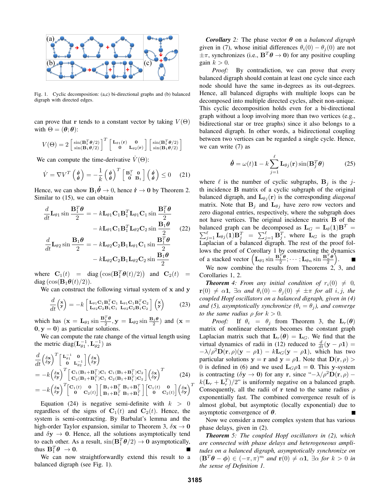

Fig. 1. Cyclic decomposition: (a,c) bi-directional graphs and (b) balanced digraph with directed edges.

can prove that r tends to a constant vector by taking  $V(\Theta)$ with  $\Theta = (\theta; \theta)$ :

$$
V(\Theta) = 2 \begin{bmatrix} \sin(\mathbf{B}_1^T \boldsymbol{\theta}/2) \\ \sin(\mathbf{B}_1 \boldsymbol{\theta}/2) \end{bmatrix}^T \begin{bmatrix} \mathbf{L}_{\theta 1}(\mathbf{r}) & \mathbf{0} \\ \mathbf{0} & \mathbf{L}_{\theta 2}(\mathbf{r}) \end{bmatrix} \begin{bmatrix} \sin(\mathbf{B}_1^T \boldsymbol{\theta}/2) \\ \sin(\mathbf{B}_1 \boldsymbol{\theta}/2) \end{bmatrix}
$$

We can compute the time-derivative  $\dot{V}(\Theta)$ :

$$
\dot{V} = \nabla V^T \begin{pmatrix} \dot{\theta} \\ \dot{\theta} \end{pmatrix} = -\frac{1}{k} \begin{pmatrix} \dot{\theta} \\ \dot{\theta} \end{pmatrix}^T \begin{bmatrix} \mathbf{B}_1^T & \mathbf{0} \\ \mathbf{0} & \mathbf{B}_1 \end{bmatrix} \begin{pmatrix} \dot{\theta} \\ \dot{\theta} \end{pmatrix} \leq 0 \quad (21)
$$

Hence, we can show  $B_1 \dot{\theta} \rightarrow 0$ , hence  $\dot{r} \rightarrow 0$  by Theorem 2. Similar to (15), we can obtain

$$
\frac{d}{dt}\mathbf{L}_{\theta 1} \sin \frac{\mathbf{B}_1^T \boldsymbol{\theta}}{2} = -k\mathbf{L}_{\theta 1} \mathbf{C}_1 \mathbf{B}_1^T \mathbf{L}_{\theta 1} \mathbf{C}_1 \sin \frac{\mathbf{B}_1^T \boldsymbol{\theta}}{2} \n- k\mathbf{L}_{\theta 1} \mathbf{C}_1 \mathbf{B}_1^T \mathbf{L}_{\theta 2} \mathbf{C}_2 \sin \frac{\mathbf{B}_1 \boldsymbol{\theta}}{2} \tag{22}\n\frac{d}{dt}\mathbf{L}_{\theta 2} \sin \frac{\mathbf{B}_1 \boldsymbol{\theta}}{2} = -k\mathbf{L}_{\theta 2} \mathbf{C}_2 \mathbf{B}_1 \mathbf{L}_{\theta 1} \mathbf{C}_1 \sin \frac{\mathbf{B}_1^T \boldsymbol{\theta}}{2} \n- k\mathbf{L}_{\theta 2} \mathbf{C}_2 \mathbf{B}_1 \mathbf{L}_{\theta 2} \mathbf{C}_2 \sin \frac{\mathbf{B}_1 \boldsymbol{\theta}}{2}
$$

where  $\mathbf{C}_1(t) = \text{diag}(\cos(\mathbf{B}_1^T \boldsymbol{\theta}(t)/2))$  and  $\mathbf{C}_2(t) =$  $diag(\cos(\mathbf{B}_1\boldsymbol{\theta}(t)/2)).$ 

We can construct the following virtual system of  $x$  and  $y$ 

$$
\frac{d}{dt}\begin{pmatrix} \mathbf{x} \\ \mathbf{y} \end{pmatrix} = -k \begin{bmatrix} \mathbf{L}_{\theta 1} \mathbf{C}_1 \mathbf{B}_1^T \mathbf{C}_1 & \mathbf{L}_{\theta 1} \mathbf{C}_1 \mathbf{B}_1^T \mathbf{C}_2 \\ \mathbf{L}_{\theta 2} \mathbf{C}_2 \mathbf{B}_1 \mathbf{C}_1 & \mathbf{L}_{\theta 2} \mathbf{C}_2 \mathbf{B}_1 \mathbf{C}_2 \end{bmatrix} \begin{pmatrix} \mathbf{x} \\ \mathbf{y} \end{pmatrix}
$$
(23)

which has  $(\mathbf{x} = \mathbf{L}_{\theta 1} \sin \frac{\mathbf{B}_{1}^{T} \theta}{2}, \mathbf{y} = \mathbf{L}_{\theta 2} \sin \frac{\mathbf{B}_{1} \theta}{2})$  and  $(\mathbf{x} =$  $0, y = 0$  as particular solutions.

We can compute the rate change of the virtual length using the metric diag( $\mathbf{L}_{\theta 1}^{-1}, \mathbf{L}_{\theta 2}^{-1}$ ) as

$$
\frac{d}{dt} \left( \delta \mathbf{x} \right)^T \begin{bmatrix} \mathbf{L}_{g1}^{-1} & \mathbf{0} \\ \mathbf{0} & \mathbf{L}_{g2}^{-1} \end{bmatrix} \begin{bmatrix} \delta \mathbf{x} \\ \delta \mathbf{y} \end{bmatrix}
$$
\n
$$
= -k \begin{bmatrix} \delta \mathbf{x} \\ \delta \mathbf{y} \end{bmatrix}^T \begin{bmatrix} \mathbf{C}_1 (\mathbf{B}_1 + \mathbf{B}_1^T) \mathbf{C}_1 & \mathbf{C}_1 (\mathbf{B}_1 + \mathbf{B}_1^T) \mathbf{C}_2 \\ \mathbf{C}_2 (\mathbf{B}_1 + \mathbf{B}_1^T) \mathbf{C}_1 & \mathbf{C}_2 (\mathbf{B}_1 + \mathbf{B}_1^T) \mathbf{C}_2 \end{bmatrix} \begin{bmatrix} \delta \mathbf{x} \\ \delta \mathbf{y} \end{bmatrix}^T
$$
\n
$$
= -k \begin{bmatrix} \delta \mathbf{x} \\ \delta \mathbf{y} \end{bmatrix}^T \begin{bmatrix} \mathbf{C}_1(t) & \mathbf{0} \\ \mathbf{0} & \mathbf{C}_2(t) \end{bmatrix} \begin{bmatrix} \mathbf{B}_1 + \mathbf{B}_1^T & \mathbf{B}_1 + \mathbf{B}_1^T \\ \mathbf{B}_1 + \mathbf{B}_1^T & \mathbf{B}_1 + \mathbf{B}_1^T \end{bmatrix} \begin{bmatrix} \mathbf{C}_1(t) & \mathbf{0} \\ \mathbf{0} & \mathbf{C}_2(t) \end{bmatrix} \begin{bmatrix} \delta \mathbf{x} \\ \delta \mathbf{y} \end{bmatrix}^T
$$

Equation (24) is negative semi-definite with  $k > 0$ regardless of the signs of  $C_1(t)$  and  $C_2(t)$ . Hence, the system is semi-contracting. By Barbalat's lemma and the high-order Taylor expansion, similar to Theorem 3,  $\delta x \rightarrow 0$ and  $\delta y \rightarrow 0$ . Hence, all the solutions asymptotically tend to each other. As a result,  $\sin(\mathbf{B}_1^T \boldsymbol{\theta}/2) \to \mathbf{0}$  asymptotically, thus  $\mathbf{B}_1^T \boldsymbol{\theta} \rightarrow 0$ . П

We can now straightforwardly extend this result to a balanced digraph (see Fig. 1).

*Corollary* 2: The phase vector  $\theta$  on a *balanced digraph* given in (7), whose initial differences  $\theta_i(0) - \theta_i(0)$  are not  $\pm \pi$ , synchronizes (i.e.,  $\mathbf{B}^T \theta \to 0$ ) for any positive coupling gain  $k > 0$ .

*Proof:* By contradiction, we can prove that every balanced digraph should contain at least one cycle since each node should have the same in-degrees as its out-degrees. Hence, all balanced digraphs with multiple loops can be decomposed into multiple directed cycles, albeit non-unique. This cyclic decomposition holds even for a bi-directional graph without a loop involving more than two vertices (e.g., bidirectional star or tree graphs) since it also belongs to a balanced digraph. In other words, a bidirectional coupling between two vertices can be regarded a single cycle. Hence, we can write (7) as

$$
\dot{\boldsymbol{\theta}} = \omega(t)\mathbf{1} - k \sum_{j=1}^{\ell} \mathbf{L}_{\theta j}(\mathbf{r}) \sin(\mathbf{B}_{j}^{T} \boldsymbol{\theta})
$$
 (25)

where  $\ell$  is the number of cyclic subgraphs,  $B_i$  is the jth incidence B matrix of a cyclic subgraph of the original balanced digraph, and  $\mathbf{L}_{\theta i}(\mathbf{r})$  is the corresponding *diagonal* matrix. Note that  $B_j$  and  $L_{\theta j}$  have zero row vectors and zero diagonal entries, respectively, where the subgraph does not have vertices. The original incidence matrix B of the balanced graph can be decomposed as  $\mathbf{L}_G = \mathbf{L}_\theta(1)\mathbf{B}^T = \mathbf{L}_G$  $\sum_{j=1}^{\ell} \mathbf{L}_{\theta j}(\mathbf{1}) \mathbf{B}_{j}^{T} = \sum_{j=1}^{\ell} \mathbf{B}_{j}^{T}$ , where  $\mathbf{L}_{G}$  is the graph Laplacian of a balanced digraph. The rest of the proof follows the proof of Corollary 1 by constructing the dynamics of a stacked vector  $\left(\mathbf{L}_{\theta 1} \sin \frac{\mathbf{B}_{1}^{T} \theta}{2}; \cdots; \mathbf{L}_{\theta n} \sin \frac{\mathbf{B}_{n}^{T} \theta}{2}\right)$ . We now combine the results from Theorems  $2<sub>1</sub>$ , 3, and

Corollaries 1, 2.

*Theorem 4: From any initial condition of*  $r_i(0) \neq 0$ ,  $\mathbf{r}(0) \neq \alpha \mathbf{1}$ ,  $\exists \alpha$  *and*  $\theta_i(0) - \theta_i(0) \neq \pm \pi$  *for all i*, *j*, *the coupled Hopf oscillators on a balanced digraph, given in (4) and (5), asymptotically synchronize (* $\theta_i = \theta_j$ *), and converge to the same radius*  $\rho$  *for*  $k > 0$ *.* 

*Proof:* If  $\theta_i = \theta_j$  from Theorem 3, the  $\mathbf{L}_r(\theta)$ matrix of nonlinear elements becomes the constant graph Laplacian matrix such that  $L_r(\theta) = L_q$ . We find that the virtual dynamics of radii in (12) reduced to  $\frac{d}{dt}(\mathbf{y} - \rho \mathbf{1}) =$  $-\lambda/\rho^2\mathbf{D}(\mathbf{r},\rho)(\mathbf{y}-\rho\mathbf{1}) - k\mathbf{L}_G(\mathbf{y}-\rho\mathbf{1}),$  which has two particular solutions  $y = r$  and  $y = \rho \mathbf{1}$ . Note that  $\mathbf{D}(\mathbf{r}, \rho)$ 0 is defined in (6) and we used  $L_G \rho 1 = 0$ . This y-system is contracting ( $\delta y \to 0$ ) for any r, since " $-\lambda/\rho^2 \mathbf{D}(\mathbf{r}, \rho)$  –  $k(\mathbf{L}_r + \mathbf{L}_r^T)/2$ " is uniformly negative on a balanced graph. Consequently, all the radii of r tend to the same radius  $\rho$ exponentially fast. The combined convergence result of is almost global, but asymptotic (locally exponential) due to asymptotic convergence of  $\theta$ .

Now we consider a more complex system that has various phase delays, given in (2).

*Theorem 5: The coupled Hopf oscillators in (2), which are connected with phase delays and heterogeneous amplitudes on a balanced digraph, asymptotically synchronize on*  $(\mathbf{B}^T \boldsymbol{\theta} - \boldsymbol{\phi}) \in (-\pi, \pi)^m$  and  $\mathbf{r}(0) \neq \alpha \mathbf{1}$ ,  $\exists \alpha \text{ for } k > 0$  in *the sense of Definition 1.*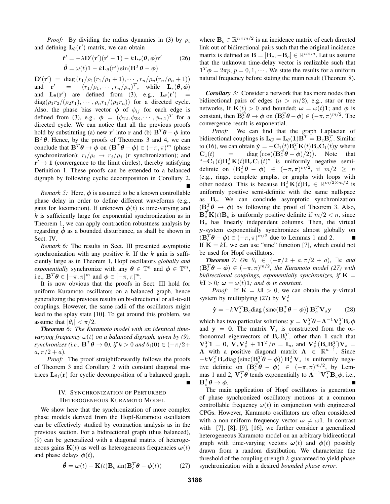*Proof:* By dividing the radius dynamics in (3) by  $\rho_i$ and defining  $\mathbf{L}_{\theta}(\mathbf{r}')$  matrix, we can obtain

$$
\dot{\mathbf{r}}' = -\lambda \mathbf{D}'(\mathbf{r}')(\mathbf{r}' - \mathbf{1}) - k \mathbf{L}_r(\theta, \phi) \mathbf{r}'
$$
 (26)  

$$
\dot{\theta} = \omega(t)\mathbf{1} - k \mathbf{L}_\theta(\mathbf{r}')\sin(\mathbf{B}^T \theta - \phi)
$$

 $\mathbf{D}'(\mathbf{r}') = \text{diag}(r_1/\rho_1(r_1/\rho_1 + 1), \cdots, r_n/\rho_n(r_n/\rho_n + 1))$ and  $\mathbf{r}' = (r_1/\rho_1, \dots, r_n/\rho_n)^T$ , while  $\mathbf{L}_r(\theta, \phi)$ and  $\mathbf{L}_{\theta}(\mathbf{r}')$  are defined from (3), e.g.,  $\mathbf{L}_{\theta}(\mathbf{r}')$  =  $diag(\rho_1 r_2/(\rho_2 r_1), \cdots, \rho_n r_1/(\rho_1 r_n))$  for a directed cycle. Also, the phase bias vector  $\phi$  of  $\phi_{ij}$  for each edge is defined from (3), e.g.,  $\phi = (\phi_{12}, \phi_{23}, \cdots, \phi_{n,1})^T$  for a directed cycle. We can notice that all the previous proofs hold by substituting (a) new r' into r and (b)  $\mathbf{B}^T \boldsymbol{\theta} - \boldsymbol{\phi}$  into  $B<sup>T</sup>\theta$ . Hence, by the proofs of Theorems 3 and 4, we can conclude that  $\mathbf{B}^T \theta \to \phi$  on  $(\mathbf{B}^T \theta - \phi) \in (-\pi, \pi)^m$  (phase synchronization);  $r_i/\rho_i \rightarrow r_j/\rho_j$  (r synchronization); and  $r' \rightarrow 1$  (convergence to the limit circles), thereby satisfying Definition 1. These proofs can be extended to a balanced digraph by following cyclic decomposition in Corollary 2.

*Remark 5:* Here,  $\phi$  is assumed to be a known controllable phase delay in order to define different waveforms (e.g., gaits for locomotion). If unknown  $\phi(t)$  is time-varying and  $k$  is sufficiently large for exponential synchronization as in Theorem 1, we can apply contraction robustness analysis by regarding  $\phi$  as a bounded disturbance, as shall be shown in Sect. IV.

*Remark 6:* The results in Sect. III presented asymptotic synchronization with any positive  $k$ . If the  $k$  gain is sufficiently large as in Theorem 1, Hopf oscillators *globally and exponentially* synchronize with any  $\theta \in \mathbb{T}^n$  and  $\phi \in \mathbb{T}^m$ , i.e.,  $\mathbf{B}^T \boldsymbol{\theta} \in [-\pi, \pi]^m$  and  $\boldsymbol{\phi} \in [-\pi, \pi]^m$ .

It is now obvious that the proofs in Sect. III hold for uniform Kuramoto oscillators on a balanced graph, hence generalizing the previous results on bi-directional or all-to-all couplings. However, the same radii of the oscillators might lead to the splay state [10]. To get around this problem, we assume that  $|\theta_i| < \pi/2$ .

*Theorem 6: The Kuramoto model with an identical timevarying frequency*  $\omega(t)$  *on a balanced digraph, given by (9), synchronizes (i.e.,*  $\mathbf{B}^T \theta \to \mathbf{0}$ ), if  $k > 0$  and  $\theta_i(0) \in (-\pi/2 + 1)$  $a, \pi/2 + a$ ).

*Proof:* The proof straightforwardly follows the proofs of Theorem 3 and Corollary 2 with constant diagonal matrices  $\mathbf{L}_{\theta i}(\mathbf{r})$  for cyclic decomposition of a balanced graph.

# IV. SYNCHRONIZATION OF PERTURBED HETEROGENEOUS KURAMOTO MODEL

We show here that the synchronization of more complex phase models derived from the Hopf-Kuramoto oscillators can be effectively studied by contraction analysis as in the previous section. For a bidirectional graph (thus balanced), (9) can be generalized with a diagonal matrix of heterogeneous gains  $\mathbf{K}(t)$  as well as heterogeneous frequencies  $\boldsymbol{\omega}(t)$ and phase delays  $\phi(t)$ ,

$$
\dot{\boldsymbol{\theta}} = \boldsymbol{\omega}(t) - \mathbf{K}(t)\mathbf{B}_c \sin(\mathbf{B}_c^T \boldsymbol{\theta} - \boldsymbol{\phi}(t)) \tag{27}
$$

where  $B_c \in \mathbb{R}^{n \times m/2}$  is an incidence matrix of each directed link out of bidirectional pairs such that the original incidence matrix is defined as  $\mathbf{B} = [\mathbf{B}_c, -\mathbf{B}_c] \in \mathbb{R}^{n \times m}$ . Let us assume that the unknown time-delay vector is realizable such that  $\mathbf{1}^T \boldsymbol{\phi} = 2\pi p$ ,  $p = 0, 1, \dots$ . We state the results for a uniform natural frequency before stating the main result (Theorem 8).

*Corollary 3:* Consider a network that has more nodes than bidirectional pairs of edges  $(n > m/2)$ , e.g., star or tree networks, If  $\mathbf{K}(t) > 0$  and bounded;  $\boldsymbol{\omega} = \omega(t) \mathbf{1}$ ; and  $\boldsymbol{\phi}$  is constant, then  $\mathbf{B}_{c}^{T}\mathbf{\theta} \to \phi$  on  $(\mathbf{B}_{c}^{T}\mathbf{\theta} - \phi) \in (-\pi, \pi)^{m/2}$ . The convergence result is exponential.

*Proof:* We can find that the graph Laplacian of bidirectional couplings is  $\mathbf{L}_G = \mathbf{L}_{\theta}(\mathbf{1})\mathbf{B}^T = \mathbf{B}_c\mathbf{B}_c^T$ . Similar to (16), we can obtain  $\dot{\mathbf{y}} = -\mathbf{C}_1(t)\mathbf{B}_c^T\mathbf{K}(t)\mathbf{B}_c\mathbf{C}_1(t)\mathbf{y}$  where  $\mathbf{C}_1(t) = \text{diag}(\cos((\mathbf{B}_c^T \boldsymbol{\theta} - \boldsymbol{\phi})/2)).$  Note that " $-C_1(t)B_c^T K(t)B_c C_1(t)$ " is uniformly negative semidefinite on  $(\mathbf{B}_c^T \boldsymbol{\theta} - \boldsymbol{\phi}) \in (-\pi, \pi)^{m/2}$ , if  $m/2 \geq n$ (e.g., rings, complete graphs, or graphs with loops with other nodes). This is because  $\mathbf{B}_c^T \mathbf{K}(t) \mathbf{B}_c \in \mathbb{R}^{m/2 \times m/2}$  is uniformly positive semi-definite with the same nullspace as  $B_c$ . We can conclude asymptotic synchronization  $(\mathbf{B}_{c}^{T}\boldsymbol{\theta} \rightarrow \boldsymbol{\phi})$  by following the proof of Theorem 3. Also,  $\mathbf{B}_c^T \mathbf{K}(t) \mathbf{B}_c$  is uniformly positive definite if  $m/2 < n$ , since  $B_c$  has linearly independent columns. Then, the virtual y-system exponentially synchronizes almost globally on  $(\mathbf{B}_c^T \boldsymbol{\theta} - \boldsymbol{\phi}) \in (-\pi, \pi)^{m/2}$  due to Lemmas 1 and 2. П If  $K = kI$ , we can use "sinc" function [7], which could not be used for Hopf oscillators.

*Theorem* 7: On  $\theta_i \in (-\pi/2 + a, \pi/2 + a)$ ,  $\exists a$  and  $(\mathbf{B}_c^T \boldsymbol{\theta} - \boldsymbol{\phi}) \in (-\pi, \pi)^{m/2}$ , the Kuramoto model (27) with *bidirectional couplings, exponentially synchronizes, if*  $K =$  $kI > 0$ ;  $\omega = \omega(t)$ **1**; and  $\phi$  is constant.

*Proof:* If  $K = kI > 0$ , we can obtain the y-virtual system by multiplying (27) by  $V_s^T$ 

$$
\dot{\mathbf{y}} = -k\mathbf{V}_s^T \mathbf{B}_c \text{diag}\left(\text{sinc}(\mathbf{B}_c^T \boldsymbol{\theta} - \boldsymbol{\phi})\right) \mathbf{B}_c^T \mathbf{V}_s \mathbf{y} \qquad (28)
$$

which has two particular solutions:  $\mathbf{y} = \mathbf{V}_s^T \boldsymbol{\theta} - \mathbf{\Lambda}^{-1} \mathbf{V}_s^T \mathbf{B}_c \boldsymbol{\phi}$ and  $y = 0$ . The matrix  $V_s$  is constructed from the orthonormal eigenvectors of  $B_c B_c^T$ , other than 1 such that  $\mathbf{V}_s^T \mathbf{1} = \mathbf{0}, \ \mathbf{V}_s \mathbf{V}_s^T + \mathbf{1} \mathbf{1}^T/n = \mathbf{I}_n, \text{ and } \mathbf{V}_s^T (\mathbf{B}_c \mathbf{B}_c^T) \mathbf{V}_s =$  $\Lambda$  with a positive diagonal matrix  $\Lambda \in \mathbb{R}^{n-1}$ . Since  $-k\mathbf{V}_s^T\mathbf{B}_c$ diag  $\left(\text{sinc}(\mathbf{B}_c^T\boldsymbol{\theta}-\boldsymbol{\phi})\right)\mathbf{B}_c^T\mathbf{V}_s$  is uniformly negative definite on  $(\mathbf{B}_c^T \boldsymbol{\theta} - \boldsymbol{\phi}) \in (-\pi, \pi)^{m/2}$ , by Lemmas 1 and 2,  $V_s^T \theta$  tends exponentially to  $\Lambda^{-1} V_s^T B_c \phi$ , i.e.,  $\mathbf{B}_c^T \boldsymbol{\theta} \rightarrow \boldsymbol{\phi}.$ 

The main application of Hopf oscillators is generation of phase synchronized oscillatory motions at a common controllable frequency  $\omega(t)$  in conjunction with engineered CPGs. However, Kuramoto oscillators are often considered with a non-uniform frequency vector  $\omega \neq \omega \mathbf{1}$ . In contrast with [7], [8], [9], [16], we further consider a generalized heterogeneous Kuramoto model on an arbitrary bidirectional graph with time-varying vectors  $\omega(t)$  and  $\phi(t)$  possibly drawn from a random distribution. We characterize the threshold of the coupling strength  $k$  guaranteed to yield phase synchronization with a desired *bounded phase error*.